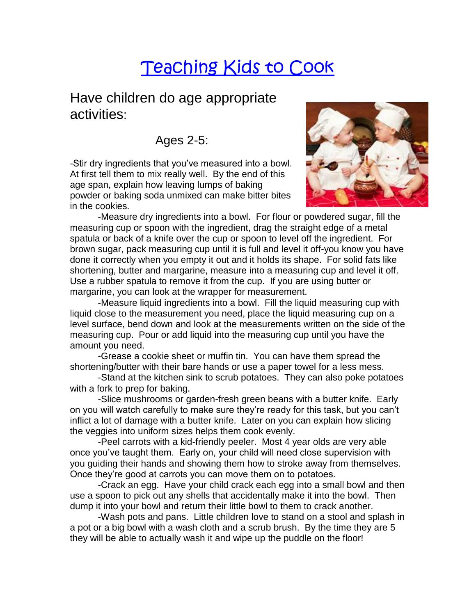## Teaching Kids to Cook

## Have children do age appropriate activities:

Ages 2-5:

-Stir dry ingredients that you've measured into a bowl. At first tell them to mix really well. By the end of this age span, explain how leaving lumps of baking powder or baking soda unmixed can make bitter bites in the cookies.



-Measure dry ingredients into a bowl. For flour or powdered sugar, fill the measuring cup or spoon with the ingredient, drag the straight edge of a metal spatula or back of a knife over the cup or spoon to level off the ingredient. For brown sugar, pack measuring cup until it is full and level it off-you know you have done it correctly when you empty it out and it holds its shape. For solid fats like shortening, butter and margarine, measure into a measuring cup and level it off. Use a rubber spatula to remove it from the cup. If you are using butter or margarine, you can look at the wrapper for measurement.

-Measure liquid ingredients into a bowl. Fill the liquid measuring cup with liquid close to the measurement you need, place the liquid measuring cup on a level surface, bend down and look at the measurements written on the side of the measuring cup. Pour or add liquid into the measuring cup until you have the amount you need.

-Grease a cookie sheet or muffin tin. You can have them spread the shortening/butter with their bare hands or use a paper towel for a less mess.

-Stand at the kitchen sink to scrub potatoes. They can also poke potatoes with a fork to prep for baking.

-Slice mushrooms or garden-fresh green beans with a butter knife. Early on you will watch carefully to make sure they're ready for this task, but you can't inflict a lot of damage with a butter knife. Later on you can explain how slicing the veggies into uniform sizes helps them cook evenly.

-Peel carrots with a kid-friendly peeler. Most 4 year olds are very able once you've taught them. Early on, your child will need close supervision with you guiding their hands and showing them how to stroke away from themselves. Once they're good at carrots you can move them on to potatoes.

-Crack an egg. Have your child crack each egg into a small bowl and then use a spoon to pick out any shells that accidentally make it into the bowl. Then dump it into your bowl and return their little bowl to them to crack another.

-Wash pots and pans. Little children love to stand on a stool and splash in a pot or a big bowl with a wash cloth and a scrub brush. By the time they are 5 they will be able to actually wash it and wipe up the puddle on the floor!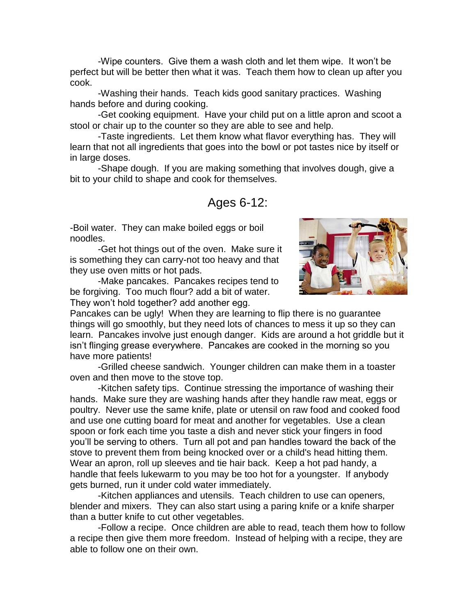-Wipe counters. Give them a wash cloth and let them wipe. It won't be perfect but will be better then what it was. Teach them how to clean up after you cook.

-Washing their hands. Teach kids good sanitary practices. Washing hands before and during cooking.

-Get cooking equipment. Have your child put on a little apron and scoot a stool or chair up to the counter so they are able to see and help.

-Taste ingredients. Let them know what flavor everything has. They will learn that not all ingredients that goes into the bowl or pot tastes nice by itself or in large doses.

-Shape dough. If you are making something that involves dough, give a bit to your child to shape and cook for themselves.

## Ages 6-12:

-Boil water. They can make boiled eggs or boil noodles.

-Get hot things out of the oven. Make sure it is something they can carry-not too heavy and that they use oven mitts or hot pads.

-Make pancakes. Pancakes recipes tend to be forgiving. Too much flour? add a bit of water. They won't hold together? add another egg.



Pancakes can be ugly! When they are learning to flip there is no guarantee things will go smoothly, but they need lots of chances to mess it up so they can learn. Pancakes involve just enough danger. Kids are around a hot griddle but it isn't flinging grease everywhere. Pancakes are cooked in the morning so you have more patients!

-Grilled cheese sandwich. Younger children can make them in a toaster oven and then move to the stove top.

-Kitchen safety tips. Continue stressing the importance of washing their hands. Make sure they are washing hands after they handle raw meat, eggs or poultry. Never use the same knife, plate or utensil on raw food and cooked food and use one cutting board for meat and another for vegetables. Use a clean spoon or fork each time you taste a dish and never stick your fingers in food you'll be serving to others. Turn all pot and pan handles toward the back of the stove to prevent them from being knocked over or a child's head hitting them. Wear an apron, roll up sleeves and tie hair back. Keep a hot pad handy, a handle that feels lukewarm to you may be too hot for a youngster. If anybody gets burned, run it under cold water immediately.

-Kitchen appliances and utensils. Teach children to use can openers, blender and mixers. They can also start using a paring knife or a knife sharper than a butter knife to cut other vegetables.

-Follow a recipe. Once children are able to read, teach them how to follow a recipe then give them more freedom. Instead of helping with a recipe, they are able to follow one on their own.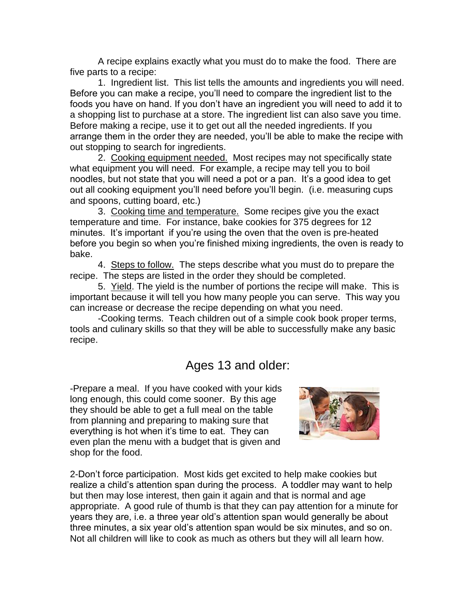A recipe explains exactly what you must do to make the food. There are five parts to a recipe:

1. Ingredient list. This list tells the amounts and ingredients you will need. Before you can make a recipe, you'll need to compare the ingredient list to the foods you have on hand. If you don't have an ingredient you will need to add it to a shopping list to purchase at a store. The ingredient list can also save you time. Before making a recipe, use it to get out all the needed ingredients. If you arrange them in the order they are needed, you'll be able to make the recipe with out stopping to search for ingredients.

2. Cooking equipment needed. Most recipes may not specifically state what equipment you will need. For example, a recipe may tell you to boil noodles, but not state that you will need a pot or a pan. It's a good idea to get out all cooking equipment you'll need before you'll begin. (i.e. measuring cups and spoons, cutting board, etc.)

3. Cooking time and temperature. Some recipes give you the exact temperature and time. For instance, bake cookies for 375 degrees for 12 minutes. It's important if you're using the oven that the oven is pre-heated before you begin so when you're finished mixing ingredients, the oven is ready to bake.

4. Steps to follow. The steps describe what you must do to prepare the recipe. The steps are listed in the order they should be completed.

5. Yield. The yield is the number of portions the recipe will make. This is important because it will tell you how many people you can serve. This way you can increase or decrease the recipe depending on what you need.

-Cooking terms. Teach children out of a simple cook book proper terms, tools and culinary skills so that they will be able to successfully make any basic recipe.

## Ages 13 and older:

-Prepare a meal. If you have cooked with your kids long enough, this could come sooner. By this age they should be able to get a full meal on the table from planning and preparing to making sure that everything is hot when it's time to eat. They can even plan the menu with a budget that is given and shop for the food.



2-Don't force participation. Most kids get excited to help make cookies but realize a child's attention span during the process. A toddler may want to help but then may lose interest, then gain it again and that is normal and age appropriate. A good rule of thumb is that they can pay attention for a minute for years they are, i.e. a three year old's attention span would generally be about three minutes, a six year old's attention span would be six minutes, and so on. Not all children will like to cook as much as others but they will all learn how.